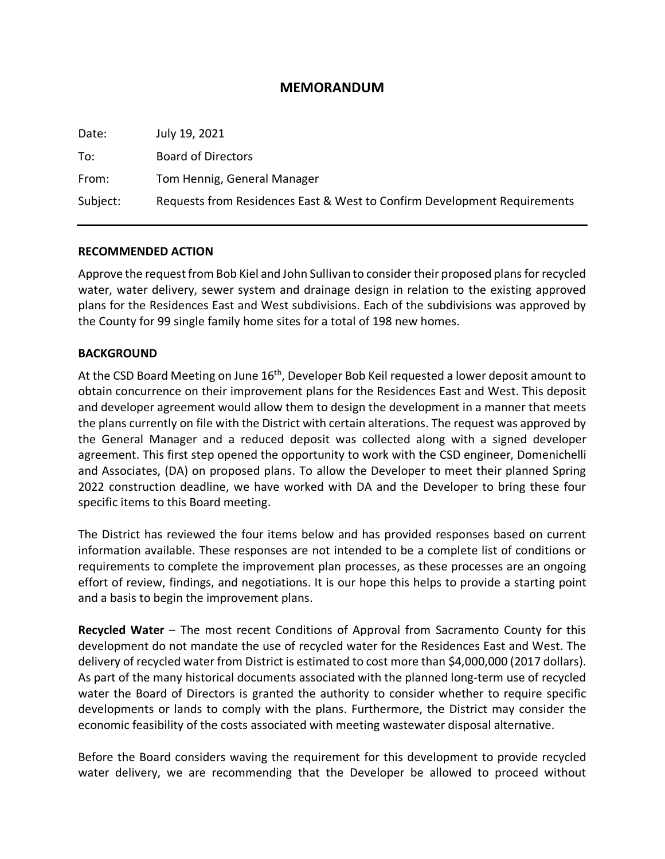## **MEMORANDUM**

| Date:    | July 19, 2021                                                            |
|----------|--------------------------------------------------------------------------|
| To:      | <b>Board of Directors</b>                                                |
| From:    | Tom Hennig, General Manager                                              |
| Subject: | Requests from Residences East & West to Confirm Development Requirements |

## **RECOMMENDED ACTION**

Approve the request from Bob Kiel and John Sullivan to consider their proposed plans for recycled water, water delivery, sewer system and drainage design in relation to the existing approved plans for the Residences East and West subdivisions. Each of the subdivisions was approved by the County for 99 single family home sites for a total of 198 new homes.

## **BACKGROUND**

At the CSD Board Meeting on June 16<sup>th</sup>, Developer Bob Keil requested a lower deposit amount to obtain concurrence on their improvement plans for the Residences East and West. This deposit and developer agreement would allow them to design the development in a manner that meets the plans currently on file with the District with certain alterations. The request was approved by the General Manager and a reduced deposit was collected along with a signed developer agreement. This first step opened the opportunity to work with the CSD engineer, Domenichelli and Associates, (DA) on proposed plans. To allow the Developer to meet their planned Spring 2022 construction deadline, we have worked with DA and the Developer to bring these four specific items to this Board meeting.

The District has reviewed the four items below and has provided responses based on current information available. These responses are not intended to be a complete list of conditions or requirements to complete the improvement plan processes, as these processes are an ongoing effort of review, findings, and negotiations. It is our hope this helps to provide a starting point and a basis to begin the improvement plans.

**Recycled Water** – The most recent Conditions of Approval from Sacramento County for this development do not mandate the use of recycled water for the Residences East and West. The delivery of recycled water from District is estimated to cost more than \$4,000,000 (2017 dollars). As part of the many historical documents associated with the planned long-term use of recycled water the Board of Directors is granted the authority to consider whether to require specific developments or lands to comply with the plans. Furthermore, the District may consider the economic feasibility of the costs associated with meeting wastewater disposal alternative.

Before the Board considers waving the requirement for this development to provide recycled water delivery, we are recommending that the Developer be allowed to proceed without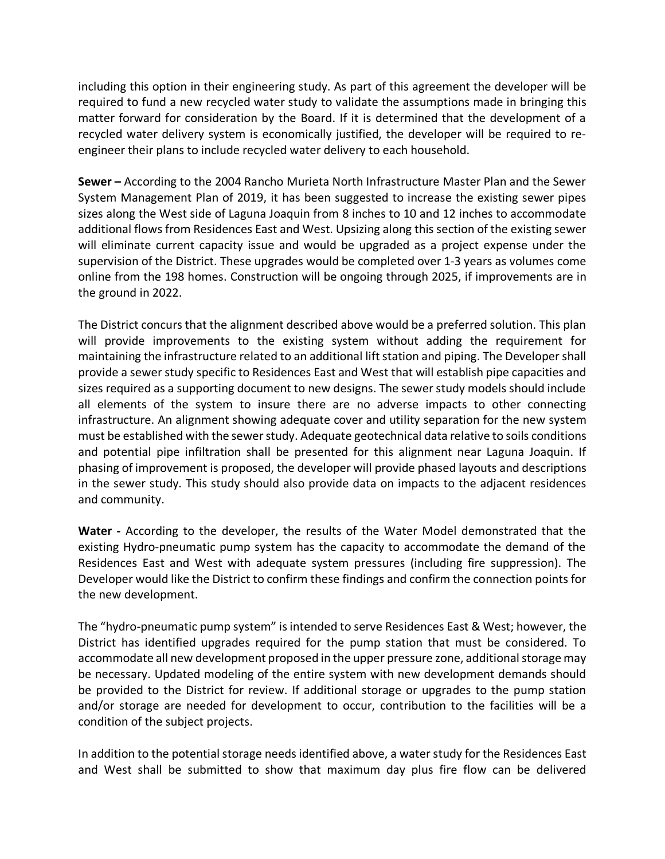including this option in their engineering study. As part of this agreement the developer will be required to fund a new recycled water study to validate the assumptions made in bringing this matter forward for consideration by the Board. If it is determined that the development of a recycled water delivery system is economically justified, the developer will be required to reengineer their plans to include recycled water delivery to each household.

**Sewer –** According to the 2004 Rancho Murieta North Infrastructure Master Plan and the Sewer System Management Plan of 2019, it has been suggested to increase the existing sewer pipes sizes along the West side of Laguna Joaquin from 8 inches to 10 and 12 inches to accommodate additional flows from Residences East and West. Upsizing along this section of the existing sewer will eliminate current capacity issue and would be upgraded as a project expense under the supervision of the District. These upgrades would be completed over 1-3 years as volumes come online from the 198 homes. Construction will be ongoing through 2025, if improvements are in the ground in 2022.

The District concurs that the alignment described above would be a preferred solution. This plan will provide improvements to the existing system without adding the requirement for maintaining the infrastructure related to an additional lift station and piping. The Developer shall provide a sewer study specific to Residences East and West that will establish pipe capacities and sizes required as a supporting document to new designs. The sewer study models should include all elements of the system to insure there are no adverse impacts to other connecting infrastructure. An alignment showing adequate cover and utility separation for the new system must be established with the sewer study. Adequate geotechnical data relative to soils conditions and potential pipe infiltration shall be presented for this alignment near Laguna Joaquin. If phasing of improvement is proposed, the developer will provide phased layouts and descriptions in the sewer study. This study should also provide data on impacts to the adjacent residences and community.

**Water -** According to the developer, the results of the Water Model demonstrated that the existing Hydro-pneumatic pump system has the capacity to accommodate the demand of the Residences East and West with adequate system pressures (including fire suppression). The Developer would like the District to confirm these findings and confirm the connection points for the new development.

The "hydro-pneumatic pump system" is intended to serve Residences East & West; however, the District has identified upgrades required for the pump station that must be considered. To accommodate all new development proposed in the upper pressure zone, additional storage may be necessary. Updated modeling of the entire system with new development demands should be provided to the District for review. If additional storage or upgrades to the pump station and/or storage are needed for development to occur, contribution to the facilities will be a condition of the subject projects.

In addition to the potential storage needs identified above, a water study for the Residences East and West shall be submitted to show that maximum day plus fire flow can be delivered